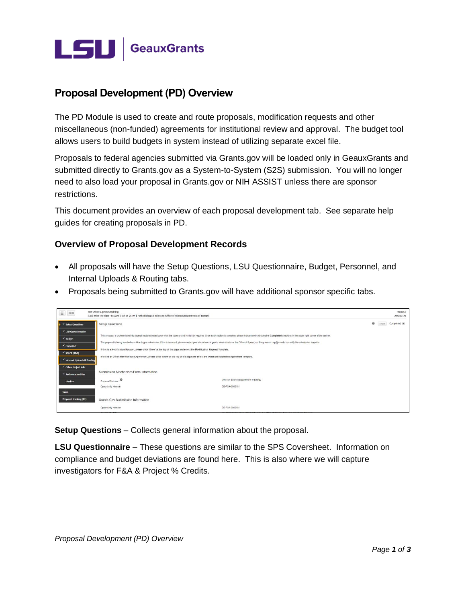

## **Proposal Development (PD) Overview**

The PD Module is used to create and route proposals, modification requests and other miscellaneous (non-funded) agreements for institutional review and approval. The budget tool allows users to build budgets in system instead of utilizing separate excel file.

Proposals to federal agencies submitted via Grants.gov will be loaded only in GeauxGrants and submitted directly to Grants.gov as a System-to-System (S2S) submission. You will no longer need to also load your proposal in Grants.gov or NIH ASSIST unless there are sponsor restrictions.

This document provides an overview of each proposal development tab. See separate help guides for creating proposals in PD.

## **Overview of Proposal Development Records**

- All proposals will have the Setup Questions, LSU Questionnaire, Budget, Personnel, and Internal Uploads & Routing tabs.
- Proposals being submitted to Grants.gov will have additional sponsor specific tabs.

| $\equiv$   Done               | Test Other G.gov DA training<br>(L13) Mike the Tiger - LSUAM   Sch of VETM   Pathobiological Sciences (Office of Science/Department of Energy)                                                                                                                                                                                                             |                                                                                                                                                |         |      | Proposal<br>AM200171 |  |  |  |  |  |  |  |
|-------------------------------|------------------------------------------------------------------------------------------------------------------------------------------------------------------------------------------------------------------------------------------------------------------------------------------------------------------------------------------------------------|------------------------------------------------------------------------------------------------------------------------------------------------|---------|------|----------------------|--|--|--|--|--|--|--|
| $\checkmark$ Setup Questions  | <b>Setup Questions</b>                                                                                                                                                                                                                                                                                                                                     |                                                                                                                                                | $\circ$ | Show | Completed V          |  |  |  |  |  |  |  |
| V LSU Questionnaire           |                                                                                                                                                                                                                                                                                                                                                            |                                                                                                                                                |         |      |                      |  |  |  |  |  |  |  |
| $\checkmark$ Budget           | This proposal is broken down into several sections based upon what the sponsor and institution requires. Once each section is complete, please indicate so by clicking the Completed checkbox in the upper right corner of the                                                                                                                             |                                                                                                                                                |         |      |                      |  |  |  |  |  |  |  |
| $\triangle$ Personnel         | The proposal is being handled as a Grants.gov submission. If this is incorrect, please contact your departmental grants administrator or the Office of Sponsored Programs at osp@lsu.edu to modify the submission template.<br>If this is a Modification Request, please click 'Show' at the top of the page and select the Modification Request Template. |                                                                                                                                                |         |      |                      |  |  |  |  |  |  |  |
| $\checkmark$ SF424 (R&R)      |                                                                                                                                                                                                                                                                                                                                                            |                                                                                                                                                |         |      |                      |  |  |  |  |  |  |  |
| Internal Uploads & Routing    |                                                                                                                                                                                                                                                                                                                                                            | If this is an Other Miscellaneous Agreement, please click 'Show' at the top of the page and select the Other Miscellaneous Agreement Template. |         |      |                      |  |  |  |  |  |  |  |
| v Other Project Info          |                                                                                                                                                                                                                                                                                                                                                            |                                                                                                                                                |         |      |                      |  |  |  |  |  |  |  |
| Performance Sites             | Submission Mechanism/Form Information                                                                                                                                                                                                                                                                                                                      |                                                                                                                                                |         |      |                      |  |  |  |  |  |  |  |
| <b>Finalize</b>               | Proposal Sponsor                                                                                                                                                                                                                                                                                                                                           | Office of Science/Department of Energy                                                                                                         |         |      |                      |  |  |  |  |  |  |  |
|                               | Opportunity Number                                                                                                                                                                                                                                                                                                                                         | DE-FOA-0002181                                                                                                                                 |         |      |                      |  |  |  |  |  |  |  |
| Tasks                         |                                                                                                                                                                                                                                                                                                                                                            |                                                                                                                                                |         |      |                      |  |  |  |  |  |  |  |
| <b>Proposal Tracking (PT)</b> | Grants Gov Submission Information                                                                                                                                                                                                                                                                                                                          |                                                                                                                                                |         |      |                      |  |  |  |  |  |  |  |
|                               | Opportunity Number                                                                                                                                                                                                                                                                                                                                         | DE-FOA-0002181                                                                                                                                 |         |      |                      |  |  |  |  |  |  |  |

**Setup Questions** – Collects general information about the proposal.

**LSU Questionnaire** – These questions are similar to the SPS Coversheet. Information on compliance and budget deviations are found here. This is also where we will capture investigators for F&A & Project % Credits.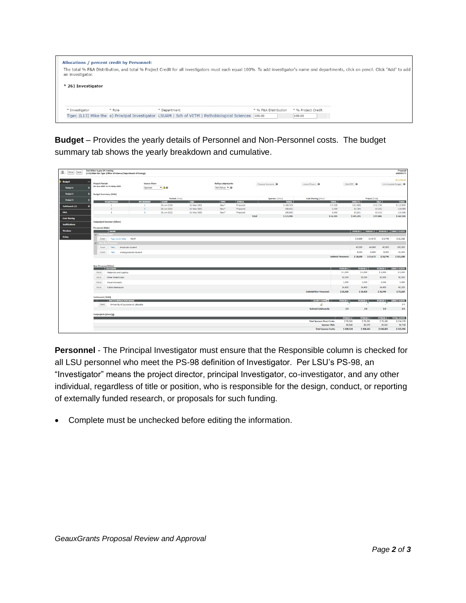| <b>Allocations / percent credit by Personnel:</b><br>an investigator. |        |              | The total % F&A Distribution, and total % Project Credit for all investigators must each equal 100%. To add investigator's name and departments, click on pencil. Click "Add" to add |                      |                              |  |  |
|-----------------------------------------------------------------------|--------|--------------|--------------------------------------------------------------------------------------------------------------------------------------------------------------------------------------|----------------------|------------------------------|--|--|
| * 26) Investigator                                                    |        |              |                                                                                                                                                                                      |                      |                              |  |  |
| * Investigator                                                        | * Role | * Department | Tiger, (L13) Mike the a) Principal Investigator LSUAM   Sch of VETM   Pathobiological Sciences [100.00]                                                                              | * % F&A Distribution | * % Project Credit<br>100.00 |  |  |

**Budget** – Provides the yearly details of Personnel and Non-Personnel costs. The budget summary tab shows the yearly breakdown and cumulative.

| Ξ.<br>Done<br>Save                        | <b>Test Other G.gov DA training</b><br>(L13) Mike the Tiger (Office of Science/Department of Energy) |                                                                 |                    |                                                     |                           |                           |                                    |                            |                                               |                            | Proposal<br>AM200171            |
|-------------------------------------------|------------------------------------------------------------------------------------------------------|-----------------------------------------------------------------|--------------------|-----------------------------------------------------|---------------------------|---------------------------|------------------------------------|----------------------------|-----------------------------------------------|----------------------------|---------------------------------|
| <b>Budget</b><br>_<br>Period <sub>1</sub> | <b>Project Period:</b><br>01-Jun-2020 to 31-May-2023                                                 | <b>Source View:</b><br>Sponsor<br>.04                           |                    | <b>Rollup subprojects:</b><br>Not Rollup <b>v</b> @ |                           | Proposal Structure        | Import/Export                      | Build PDF                  |                                               |                            | View Mode<br>Un-Complete Budget |
| <b>Period 2</b>                           | <b>Budget Summary [Hide]</b>                                                                         |                                                                 |                    |                                                     |                           |                           |                                    |                            |                                               |                            |                                 |
| Period 3                                  |                                                                                                      |                                                                 | Periods [hide]     |                                                     |                           | Sponsor [show]            | Cost Sharing [show]                |                            | Project [hide]                                |                            |                                 |
|                                           | YEAR/PERIOD<br>$\mathbf{1}$                                                                          | <b>START</b><br><b>INCREMENT</b><br>01-Jun-2020<br>$\mathbf{1}$ | END<br>31-May-2021 | <b>TYPE</b><br>New <sup>s</sup>                     | <b>STATUS</b><br>Proposed | <b>TOTAL</b><br>\$108,528 | <b>TOTAL</b><br>\$5,328            | <b>DIRECTS</b><br>\$81,600 |                                               | <b>F&amp;A</b><br>\$32,256 | <b>TOTAL</b><br>\$113,856       |
| <b>SubAwards (1)</b>                      | $\mathfrak{D}$                                                                                       | 01-Jun-2021<br>$\rightarrow$                                    | 31-May-2022        | New <sup>s</sup>                                    | Proposed                  | 108,665                   | 5.434                              | 81,764                     |                                               | 32,335                     | 114,099                         |
| <b>F&amp;A</b>                            | $\overline{\phantom{a}}$                                                                             | 01-Jun-2022<br>$\lambda$                                        | 31-May-2023        | New <sup>*</sup>                                    | Proposed                  | 108,803                   | 5,543                              | 81,931                     |                                               | 32,415                     | 114,346                         |
| <b>Cost Sharing</b>                       |                                                                                                      |                                                                 |                    |                                                     |                           | \$325,996<br>Total:       | \$16,305                           | \$245,295                  |                                               | \$97,006                   | \$342,301                       |
|                                           | <b>Subproject Summary [Show]</b>                                                                     |                                                                 |                    |                                                     |                           |                           |                                    |                            |                                               |                            |                                 |
| <b>Justifications</b>                     |                                                                                                      |                                                                 |                    |                                                     |                           |                           |                                    |                            |                                               |                            |                                 |
| <b>Versions</b>                           | Personnel [Hide]<br><b>NAME</b>                                                                      |                                                                 |                    |                                                     |                           |                           |                                    |                            | PERIOD 1   PERIOD 2   PERIOD 3   DIRECT COSTS |                            |                                 |
|                                           | [w] Key Personnel                                                                                    |                                                                 |                    |                                                     |                           |                           |                                    |                            |                                               |                            |                                 |
| <b>Setup</b>                              | Detail<br>Tiger, (L13) Mike PD/PI                                                                    |                                                                 |                    |                                                     |                           |                           |                                    | \$3,600                    | \$3,672                                       | S 3.746                    | \$11,018                        |
|                                           | M Non-Key Personnel                                                                                  |                                                                 |                    |                                                     |                           |                           |                                    |                            |                                               |                            |                                 |
|                                           | Detail<br>TBH.<br><b>Graduate Student</b>                                                            |                                                                 |                    |                                                     |                           |                           |                                    | 40,000                     | 40,000                                        | 40,000                     | 120,000                         |
|                                           | Detail<br>TBH.<br><b>Undergraduate Student</b>                                                       |                                                                 |                    |                                                     |                           |                           |                                    | 8,000                      | 8,000                                         | 8.000                      | 24,000                          |
|                                           |                                                                                                      |                                                                 |                    |                                                     |                           |                           | <b>Subtotal Personnel:</b>         | \$51,600                   | \$51,672                                      | \$51,746                   | \$155,018                       |
|                                           |                                                                                                      |                                                                 |                    |                                                     |                           |                           |                                    |                            |                                               |                            |                                 |
|                                           | Non-Personnel [hide]                                                                                 |                                                                 |                    |                                                     |                           |                           |                                    |                            |                                               |                            |                                 |
|                                           | <b>CATEGORY</b>                                                                                      |                                                                 |                    |                                                     |                           |                           |                                    | PERIOD 1                   | PERIOD <sub>2</sub>                           | PERIOD 3                   | <b>DIRECT COSTS</b>             |
|                                           | Detail<br>Materials and Supplies                                                                     |                                                                 |                    |                                                     |                           |                           |                                    | \$1,000                    | \$1,000                                       | \$1,000                    | \$3,000                         |
|                                           | Detail<br><b>Other Direct Costs</b>                                                                  |                                                                 |                    |                                                     |                           |                           |                                    | 10,000                     | 10,000                                        | 10,000                     | 30,000                          |
|                                           | Detail<br><b>Travel-Domestic</b>                                                                     |                                                                 |                    |                                                     |                           |                           |                                    | 1.000                      | 1,020                                         | 1,040                      | 3,060                           |
|                                           | Detail<br><b>Tuition Remission</b>                                                                   |                                                                 |                    |                                                     |                           |                           |                                    | 14,400                     | 14,400                                        | 14,400                     | 43,200                          |
|                                           |                                                                                                      |                                                                 |                    |                                                     |                           |                           | <b>Subtotal Non-Personnel:</b>     | \$26,400                   | \$26,420                                      | \$26,440                   | \$79,260                        |
|                                           | <b>SubAwards [Hide]</b>                                                                              |                                                                 |                    |                                                     |                           |                           |                                    |                            |                                               |                            |                                 |
|                                           | <b>INST/CONTRACTOR NAME</b><br>- 1                                                                   |                                                                 |                    |                                                     |                           |                           | SHORT FORM                         | <b>PERIOD 1</b>            | PERIOD <sub>2</sub>                           | PERIOD 3                   | <b>DIRECT COSTS</b>             |
|                                           | University of Louisiana at Lafayette<br>Detail                                                       |                                                                 |                    |                                                     |                           |                           | cá                                 |                            |                                               |                            | \$O                             |
|                                           |                                                                                                      |                                                                 |                    |                                                     |                           |                           | Subtotal SubAwards:                | \$0                        | \$0                                           | \$0                        | \$0                             |
|                                           | Subprojects [show]@                                                                                  |                                                                 |                    |                                                     |                           |                           |                                    |                            |                                               |                            |                                 |
|                                           |                                                                                                      |                                                                 |                    |                                                     |                           |                           |                                    | PERIOD 1                   | PERIOD <sub>2</sub>                           | PERIOD 3                   | <b>TOTAL COSTS</b>              |
|                                           |                                                                                                      |                                                                 |                    |                                                     |                           |                           | <b>Total Sponsor Direct Costs:</b> | \$78,000                   | \$78,092                                      | \$78,186                   | \$234,278                       |
|                                           |                                                                                                      |                                                                 |                    |                                                     |                           |                           | Sponsor F&A:                       | 30,528                     | 30,573                                        | 30,617                     | 91,718                          |
|                                           |                                                                                                      |                                                                 |                    |                                                     |                           |                           | <b>Total Sponsor Costs:</b>        | \$108,528                  | \$108,665                                     | \$108,803                  | \$325,996                       |

**Personnel** - The Principal Investigator must ensure that the Responsible column is checked for all LSU personnel who meet the PS-98 definition of Investigator. Per LSU's PS-98, an "Investigator" means the project director, principal Investigator, co-investigator, and any other individual, regardless of title or position, who is responsible for the design, conduct, or reporting of externally funded research, or proposals for such funding.

• Complete must be unchecked before editing the information.